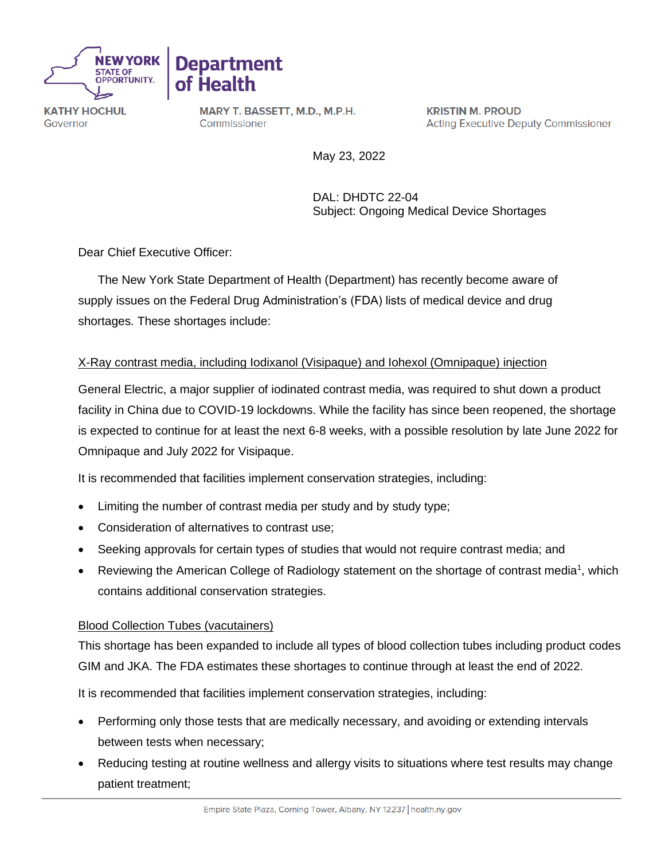



**KATHY HOCHUL** Governor

MARY T. BASSETT, M.D., M.P.H. Commissioner

**KRISTIN M. PROUD Acting Executive Deputy Commissioner** 

May 23, 2022

DAL: DHDTC 22-04 Subject: Ongoing Medical Device Shortages

Dear Chief Executive Officer:

The New York State Department of Health (Department) has recently become aware of supply issues on the Federal Drug Administration's (FDA) lists of medical device and drug shortages. These shortages include:

## X-Ray contrast media, including Iodixanol (Visipaque) and Iohexol (Omnipaque) injection

General Electric, a major supplier of iodinated contrast media, was required to shut down a product facility in China due to COVID-19 lockdowns. While the facility has since been reopened, the shortage is expected to continue for at least the next 6-8 weeks, with a possible resolution by late June 2022 for Omnipaque and July 2022 for Visipaque.

It is recommended that facilities implement conservation strategies, including:

- Limiting the number of contrast media per study and by study type;
- Consideration of alternatives to contrast use;
- Seeking approvals for certain types of studies that would not require contrast media; and
- Reviewing the American College of Radiology statement on the shortage of contrast media<sup>1</sup>, which contains additional conservation strategies.

## Blood Collection Tubes (vacutainers)

This shortage has been expanded to include all types of blood collection tubes including product codes GIM and JKA. The FDA estimates these shortages to continue through at least the end of 2022.

It is recommended that facilities implement conservation strategies, including:

- Performing only those tests that are medically necessary, and avoiding or extending intervals between tests when necessary;
- Reducing testing at routine wellness and allergy visits to situations where test results may change patient treatment;